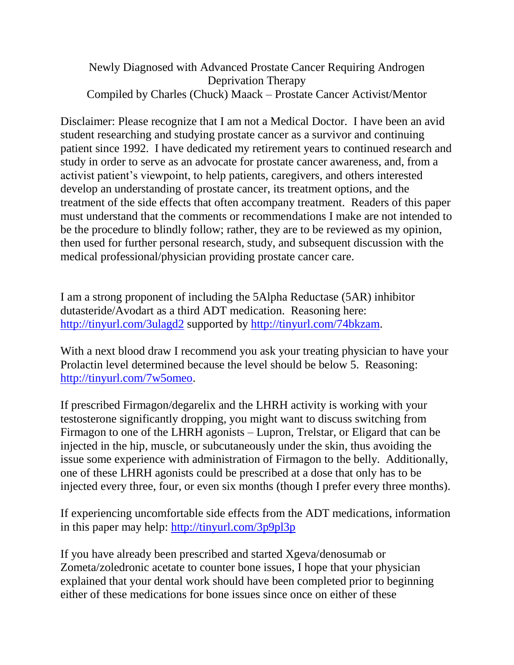### Newly Diagnosed with Advanced Prostate Cancer Requiring Androgen Deprivation Therapy Compiled by Charles (Chuck) Maack – Prostate Cancer Activist/Mentor

Disclaimer: Please recognize that I am not a Medical Doctor. I have been an avid student researching and studying prostate cancer as a survivor and continuing patient since 1992. I have dedicated my retirement years to continued research and study in order to serve as an advocate for prostate cancer awareness, and, from a activist patient's viewpoint, to help patients, caregivers, and others interested develop an understanding of prostate cancer, its treatment options, and the treatment of the side effects that often accompany treatment. Readers of this paper must understand that the comments or recommendations I make are not intended to be the procedure to blindly follow; rather, they are to be reviewed as my opinion, then used for further personal research, study, and subsequent discussion with the medical professional/physician providing prostate cancer care.

I am a strong proponent of including the 5Alpha Reductase (5AR) inhibitor dutasteride/Avodart as a third ADT medication. Reasoning here: <http://tinyurl.com/3ulagd2> supported by [http://tinyurl.com/74bkzam.](http://tinyurl.com/74bkzam)

With a next blood draw I recommend you ask your treating physician to have your Prolactin level determined because the level should be below 5. Reasoning: [http://tinyurl.com/7w5omeo.](http://tinyurl.com/7w5omeo)

If prescribed Firmagon/degarelix and the LHRH activity is working with your testosterone significantly dropping, you might want to discuss switching from Firmagon to one of the LHRH agonists – Lupron, Trelstar, or Eligard that can be injected in the hip, muscle, or subcutaneously under the skin, thus avoiding the issue some experience with administration of Firmagon to the belly. Additionally, one of these LHRH agonists could be prescribed at a dose that only has to be injected every three, four, or even six months (though I prefer every three months).

If experiencing uncomfortable side effects from the ADT medications, information in this paper may help:<http://tinyurl.com/3p9pl3p>

If you have already been prescribed and started Xgeva/denosumab or Zometa/zoledronic acetate to counter bone issues, I hope that your physician explained that your dental work should have been completed prior to beginning either of these medications for bone issues since once on either of these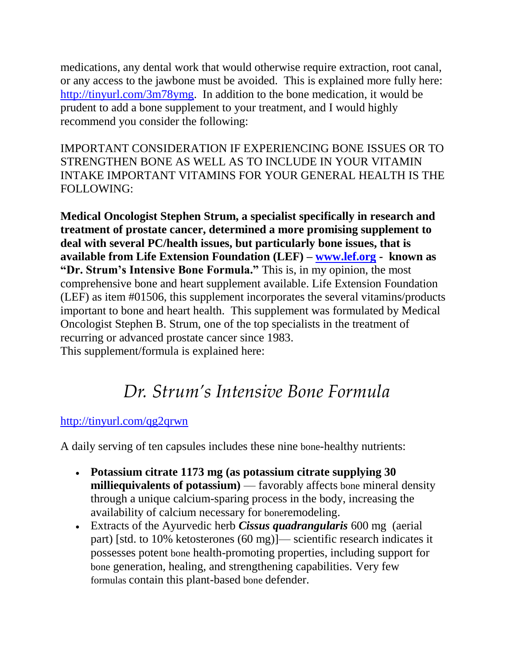medications, any dental work that would otherwise require extraction, root canal, or any access to the jawbone must be avoided. This is explained more fully here: [http://tinyurl.com/3m78ymg.](http://tinyurl.com/3m78ymg) In addition to the bone medication, it would be prudent to add a bone supplement to your treatment, and I would highly recommend you consider the following:

IMPORTANT CONSIDERATION IF EXPERIENCING BONE ISSUES OR TO STRENGTHEN BONE AS WELL AS TO INCLUDE IN YOUR VITAMIN INTAKE IMPORTANT VITAMINS FOR YOUR GENERAL HEALTH IS THE FOLLOWING:

**Medical Oncologist Stephen Strum, a specialist specifically in research and treatment of prostate cancer, determined a more promising supplement to deal with several PC/health issues, but particularly bone issues, that is available from Life Extension Foundation (LEF) – [www.lef.org](http://www.lef.org/) - known as "Dr. Strum's Intensive Bone Formula."** This is, in my opinion, the most comprehensive bone and heart supplement available. Life Extension Foundation (LEF) as item #01506, this supplement incorporates the several vitamins/products important to bone and heart health. This supplement was formulated by Medical Oncologist Stephen B. Strum, one of the top specialists in the treatment of recurring or advanced prostate cancer since 1983. This supplement/formula is explained here:

# *Dr. Strum's Intensive Bone Formula*

# <http://tinyurl.com/qg2qrwn>

A daily serving of ten capsules includes these nine bone-healthy nutrients:

- **Potassium citrate 1173 mg (as potassium citrate supplying 30 milliequivalents of potassium)** — favorably affects bone mineral density through a unique calcium-sparing process in the body, increasing the availability of calcium necessary for boneremodeling.
- Extracts of the Ayurvedic herb *Cissus quadrangularis* 600 mg (aerial part) [std. to 10% ketosterones (60 mg)]— scientific research indicates it possesses potent bone health-promoting properties, including support for bone generation, healing, and strengthening capabilities. Very few formulas contain this plant-based bone defender.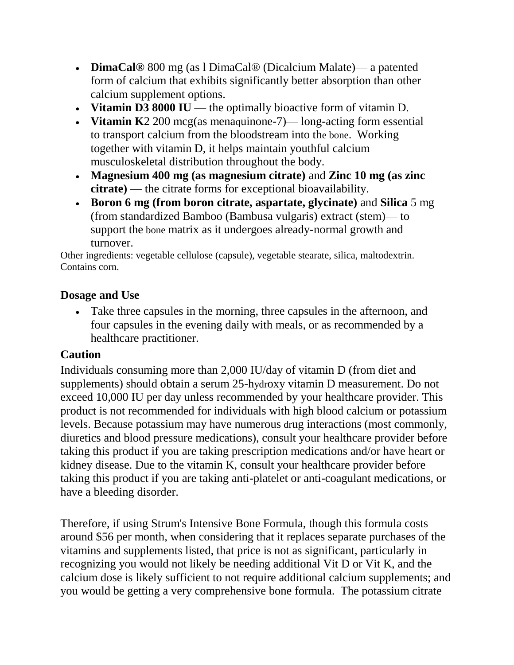- **DimaCal®** 800 mg (as l DimaCal® (Dicalcium Malate)— a patented form of calcium that exhibits significantly better absorption than other calcium supplement options.
- **Vitamin D3 8000 IU** the optimally bioactive form of vitamin D.
- **Vitamin K**2 200 mcg(as menaquinone-7)— long-acting form essential to transport calcium from the bloodstream into the bone. Working together with vitamin D, it helps maintain youthful calcium musculoskeletal distribution throughout the body.
- **Magnesium 400 mg (as magnesium citrate)** and **Zinc 10 mg (as zinc citrate)** — the citrate forms for exceptional bioavailability.
- **Boron 6 mg (from boron citrate, aspartate, glycinate)** and **Silica** 5 mg (from standardized Bamboo (Bambusa vulgaris) extract (stem)— to support the bone matrix as it undergoes already-normal growth and turnover.

Other ingredients: vegetable cellulose (capsule), vegetable stearate, silica, maltodextrin. Contains corn.

### **Dosage and Use**

 Take three capsules in the morning, three capsules in the afternoon, and four capsules in the evening daily with meals, or as recommended by a healthcare practitioner.

# **Caution**

Individuals consuming more than 2,000 IU/day of vitamin D (from diet and supplements) should obtain a serum 25-hydroxy vitamin D measurement. Do not exceed 10,000 IU per day unless recommended by your healthcare provider. This product is not recommended for individuals with high blood calcium or potassium levels. Because potassium may have numerous drug interactions (most commonly, diuretics and blood pressure medications), consult your healthcare provider before taking this product if you are taking prescription medications and/or have heart or kidney disease. Due to the vitamin K, consult your healthcare provider before taking this product if you are taking anti-platelet or anti-coagulant medications, or have a bleeding disorder.

Therefore, if using Strum's Intensive Bone Formula, though this formula costs around \$56 per month, when considering that it replaces separate purchases of the vitamins and supplements listed, that price is not as significant, particularly in recognizing you would not likely be needing additional Vit D or Vit K, and the calcium dose is likely sufficient to not require additional calcium supplements; and you would be getting a very comprehensive bone formula. The potassium citrate